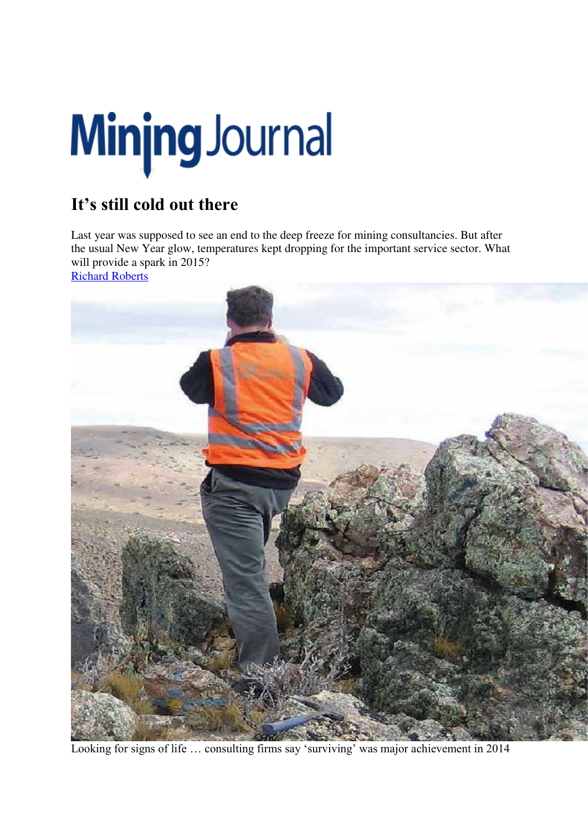## Minjng Journal

## **It's still cold out there**

Last year was supposed to see an end to the deep freeze for mining consultancies. But after the usual New Year glow, temperatures kept dropping for the important service sector. What will provide a spark in 2015?

Richard Roberts



Looking for signs of life … consulting firms say 'surviving' was major achievement in 2014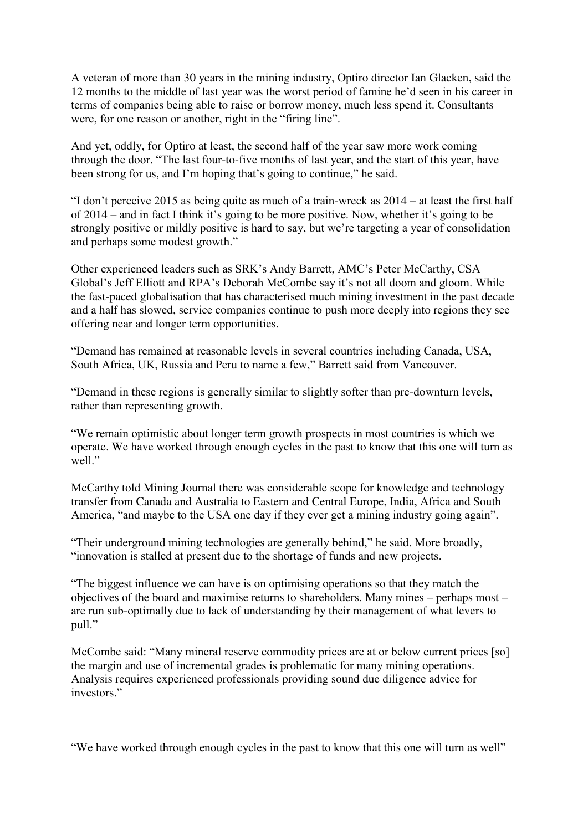A veteran of more than 30 years in the mining industry, Optiro director Ian Glacken, said the 12 months to the middle of last year was the worst period of famine he'd seen in his career in terms of companies being able to raise or borrow money, much less spend it. Consultants were, for one reason or another, right in the "firing line".

And yet, oddly, for Optiro at least, the second half of the year saw more work coming through the door. "The last four-to-five months of last year, and the start of this year, have been strong for us, and I'm hoping that's going to continue," he said.

"I don't perceive 2015 as being quite as much of a train-wreck as 2014 – at least the first half of 2014 – and in fact I think it's going to be more positive. Now, whether it's going to be strongly positive or mildly positive is hard to say, but we're targeting a year of consolidation and perhaps some modest growth."

Other experienced leaders such as SRK's Andy Barrett, AMC's Peter McCarthy, CSA Global's Jeff Elliott and RPA's Deborah McCombe say it's not all doom and gloom. While the fast-paced globalisation that has characterised much mining investment in the past decade and a half has slowed, service companies continue to push more deeply into regions they see offering near and longer term opportunities.

"Demand has remained at reasonable levels in several countries including Canada, USA, South Africa, UK, Russia and Peru to name a few," Barrett said from Vancouver.

"Demand in these regions is generally similar to slightly softer than pre-downturn levels, rather than representing growth.

"We remain optimistic about longer term growth prospects in most countries is which we operate. We have worked through enough cycles in the past to know that this one will turn as well"

McCarthy told Mining Journal there was considerable scope for knowledge and technology transfer from Canada and Australia to Eastern and Central Europe, India, Africa and South America, "and maybe to the USA one day if they ever get a mining industry going again".

"Their underground mining technologies are generally behind," he said. More broadly, "innovation is stalled at present due to the shortage of funds and new projects.

"The biggest influence we can have is on optimising operations so that they match the objectives of the board and maximise returns to shareholders. Many mines – perhaps most – are run sub-optimally due to lack of understanding by their management of what levers to pull."

McCombe said: "Many mineral reserve commodity prices are at or below current prices [so] the margin and use of incremental grades is problematic for many mining operations. Analysis requires experienced professionals providing sound due diligence advice for investors<sup>"</sup>

"We have worked through enough cycles in the past to know that this one will turn as well"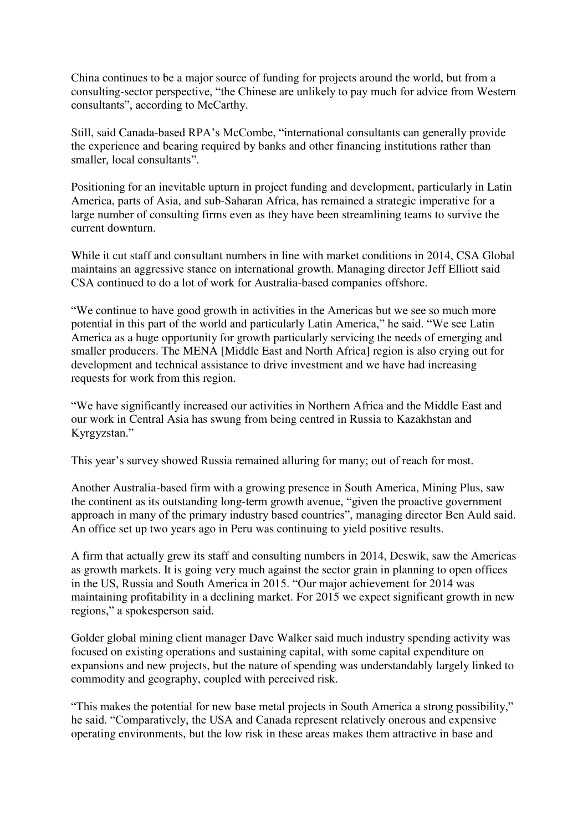China continues to be a major source of funding for projects around the world, but from a consulting-sector perspective, "the Chinese are unlikely to pay much for advice from Western consultants", according to McCarthy.

Still, said Canada-based RPA's McCombe, "international consultants can generally provide the experience and bearing required by banks and other financing institutions rather than smaller, local consultants".

Positioning for an inevitable upturn in project funding and development, particularly in Latin America, parts of Asia, and sub-Saharan Africa, has remained a strategic imperative for a large number of consulting firms even as they have been streamlining teams to survive the current downturn.

While it cut staff and consultant numbers in line with market conditions in 2014, CSA Global maintains an aggressive stance on international growth. Managing director Jeff Elliott said CSA continued to do a lot of work for Australia-based companies offshore.

"We continue to have good growth in activities in the Americas but we see so much more potential in this part of the world and particularly Latin America," he said. "We see Latin America as a huge opportunity for growth particularly servicing the needs of emerging and smaller producers. The MENA [Middle East and North Africa] region is also crying out for development and technical assistance to drive investment and we have had increasing requests for work from this region.

"We have significantly increased our activities in Northern Africa and the Middle East and our work in Central Asia has swung from being centred in Russia to Kazakhstan and Kyrgyzstan."

This year's survey showed Russia remained alluring for many; out of reach for most.

Another Australia-based firm with a growing presence in South America, Mining Plus, saw the continent as its outstanding long-term growth avenue, "given the proactive government approach in many of the primary industry based countries", managing director Ben Auld said. An office set up two years ago in Peru was continuing to yield positive results.

A firm that actually grew its staff and consulting numbers in 2014, Deswik, saw the Americas as growth markets. It is going very much against the sector grain in planning to open offices in the US, Russia and South America in 2015. "Our major achievement for 2014 was maintaining profitability in a declining market. For 2015 we expect significant growth in new regions," a spokesperson said.

Golder global mining client manager Dave Walker said much industry spending activity was focused on existing operations and sustaining capital, with some capital expenditure on expansions and new projects, but the nature of spending was understandably largely linked to commodity and geography, coupled with perceived risk.

"This makes the potential for new base metal projects in South America a strong possibility," he said. "Comparatively, the USA and Canada represent relatively onerous and expensive operating environments, but the low risk in these areas makes them attractive in base and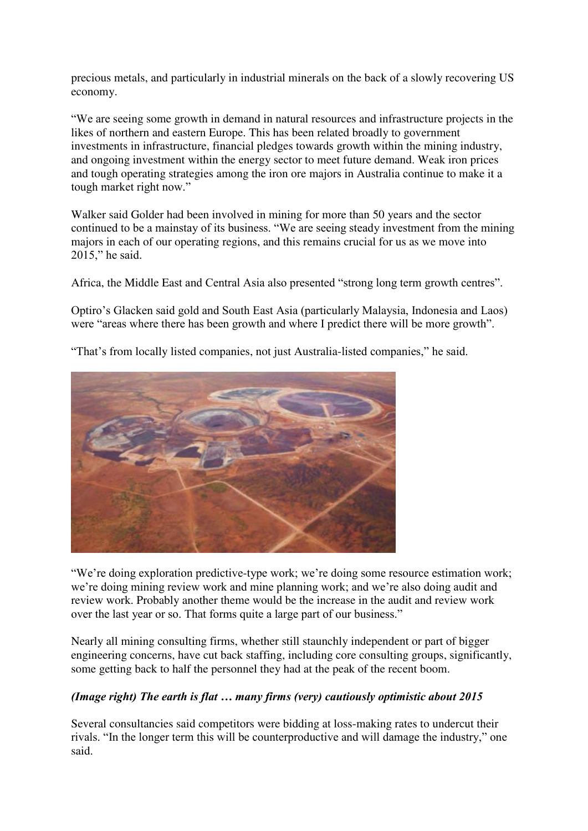precious metals, and particularly in industrial minerals on the back of a slowly recovering US economy.

"We are seeing some growth in demand in natural resources and infrastructure projects in the likes of northern and eastern Europe. This has been related broadly to government investments in infrastructure, financial pledges towards growth within the mining industry, and ongoing investment within the energy sector to meet future demand. Weak iron prices and tough operating strategies among the iron ore majors in Australia continue to make it a tough market right now."

Walker said Golder had been involved in mining for more than 50 years and the sector continued to be a mainstay of its business. "We are seeing steady investment from the mining majors in each of our operating regions, and this remains crucial for us as we move into 2015," he said.

Africa, the Middle East and Central Asia also presented "strong long term growth centres".

Optiro's Glacken said gold and South East Asia (particularly Malaysia, Indonesia and Laos) were "areas where there has been growth and where I predict there will be more growth".

"That's from locally listed companies, not just Australia-listed companies," he said.



"We're doing exploration predictive-type work; we're doing some resource estimation work; we're doing mining review work and mine planning work; and we're also doing audit and review work. Probably another theme would be the increase in the audit and review work over the last year or so. That forms quite a large part of our business."

Nearly all mining consulting firms, whether still staunchly independent or part of bigger engineering concerns, have cut back staffing, including core consulting groups, significantly, some getting back to half the personnel they had at the peak of the recent boom.

## *(Image right) The earth is flat … many firms (very) cautiously optimistic about 2015*

Several consultancies said competitors were bidding at loss-making rates to undercut their rivals. "In the longer term this will be counterproductive and will damage the industry," one said.